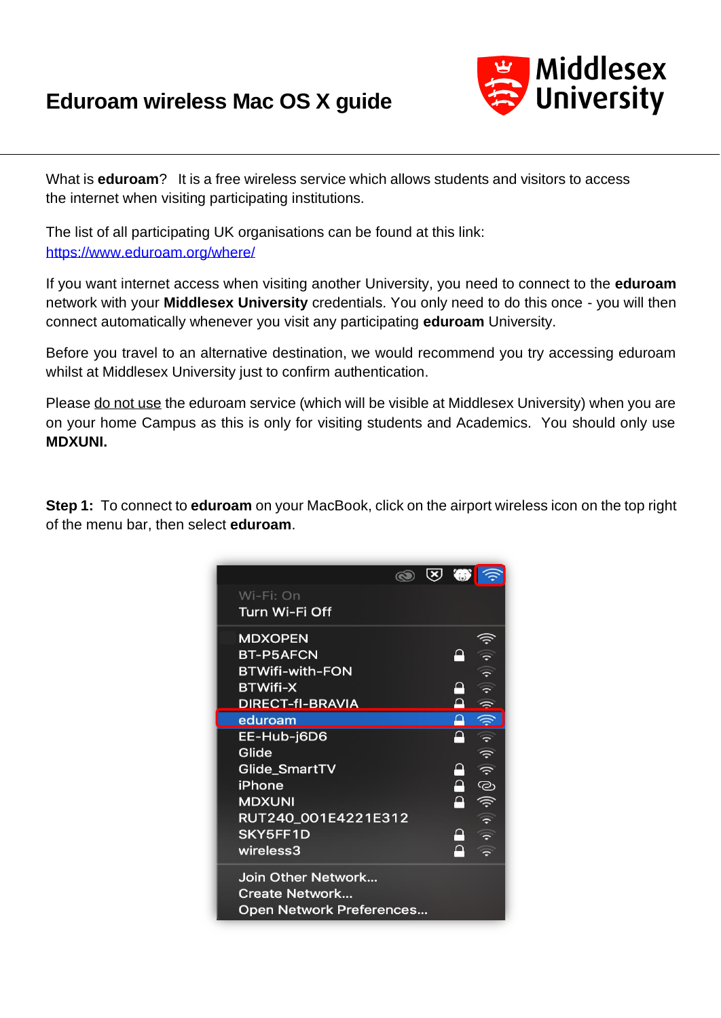## **Eduroam wireless Mac OS X guide**



What is **eduroam**? It is a free wireless service which allows students and visitors to access the internet when visiting participating institutions.

The list of all participating UK organisations can be found at this link: <https://www.eduroam.org/where/>

If you want internet access when visiting another University, you need to connect to the **eduroam** network with your **Middlesex University** credentials. You only need to do this once - you will then connect automatically whenever you visit any participating **eduroam** University.

Before you travel to an alternative destination, we would recommend you try accessing eduroam whilst at Middlesex University just to confirm authentication.

Please do not use the eduroam service (which will be visible at Middlesex University) when you are on your home Campus as this is only for visiting students and Academics. You should only use **MDXUNI.** 

**Step 1:** To connect to **eduroam** on your MacBook, click on the airport wireless icon on the top right of the menu bar, then select **eduroam**.